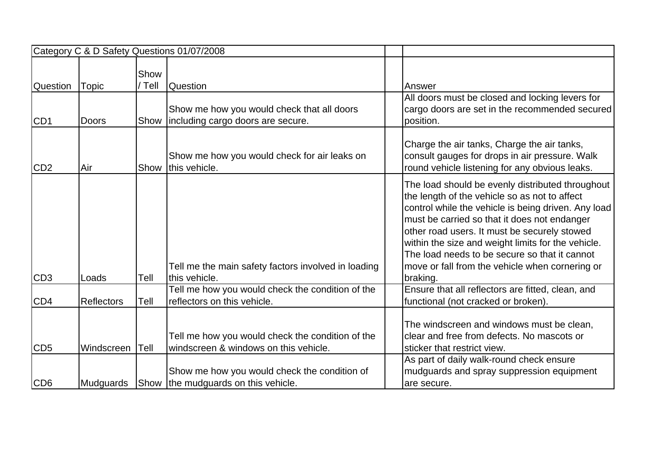|                 |              |                | Category C & D Safety Questions 01/07/2008                                                |                                                                                                                                                                                                                                                                                                                                                                                                                                |
|-----------------|--------------|----------------|-------------------------------------------------------------------------------------------|--------------------------------------------------------------------------------------------------------------------------------------------------------------------------------------------------------------------------------------------------------------------------------------------------------------------------------------------------------------------------------------------------------------------------------|
| <b>Question</b> | <b>Topic</b> | Show<br>/ Tell | <b>Question</b>                                                                           | Answer                                                                                                                                                                                                                                                                                                                                                                                                                         |
| CD <sub>1</sub> | <b>Doors</b> |                | Show me how you would check that all doors<br>Show including cargo doors are secure.      | All doors must be closed and locking levers for<br>cargo doors are set in the recommended secured<br>position.                                                                                                                                                                                                                                                                                                                 |
| CD <sub>2</sub> | Air          |                | Show me how you would check for air leaks on<br>Show this vehicle.                        | Charge the air tanks, Charge the air tanks,<br>consult gauges for drops in air pressure. Walk<br>round vehicle listening for any obvious leaks.                                                                                                                                                                                                                                                                                |
| CD <sub>3</sub> | Loads        | Tell           | Tell me the main safety factors involved in loading<br>this vehicle.                      | The load should be evenly distributed throughout<br>the length of the vehicle so as not to affect<br>control while the vehicle is being driven. Any load<br>must be carried so that it does not endanger<br>other road users. It must be securely stowed<br>within the size and weight limits for the vehicle.<br>The load needs to be secure so that it cannot<br>move or fall from the vehicle when cornering or<br>braking. |
| CD <sub>4</sub> | Reflectors   | Tell           | Tell me how you would check the condition of the<br>reflectors on this vehicle.           | Ensure that all reflectors are fitted, clean, and<br>functional (not cracked or broken).                                                                                                                                                                                                                                                                                                                                       |
| CD <sub>5</sub> | Windscreen   | Tell           | Tell me how you would check the condition of the<br>windscreen & windows on this vehicle. | The windscreen and windows must be clean,<br>clear and free from defects. No mascots or<br>sticker that restrict view.                                                                                                                                                                                                                                                                                                         |
| CD <sub>6</sub> | Mudguards    |                | Show me how you would check the condition of<br>Show the mudguards on this vehicle.       | As part of daily walk-round check ensure<br>mudguards and spray suppression equipment<br>are secure.                                                                                                                                                                                                                                                                                                                           |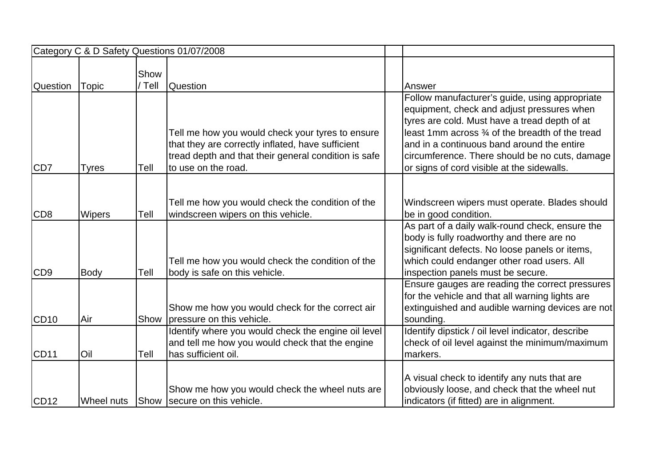|                 |               |                | Category C & D Safety Questions 01/07/2008                                                                                                                                           |                                                                                                                                                                                                                                                                                                                                                 |
|-----------------|---------------|----------------|--------------------------------------------------------------------------------------------------------------------------------------------------------------------------------------|-------------------------------------------------------------------------------------------------------------------------------------------------------------------------------------------------------------------------------------------------------------------------------------------------------------------------------------------------|
| <b>Question</b> | <b>Topic</b>  | Show<br>/ Tell | <b>Question</b>                                                                                                                                                                      | Answer                                                                                                                                                                                                                                                                                                                                          |
| CD <sub>7</sub> | <b>Tyres</b>  | Tell           | Tell me how you would check your tyres to ensure<br>that they are correctly inflated, have sufficient<br>tread depth and that their general condition is safe<br>to use on the road. | Follow manufacturer's guide, using appropriate<br>equipment, check and adjust pressures when<br>tyres are cold. Must have a tread depth of at<br>least 1mm across 3⁄4 of the breadth of the tread<br>and in a continuous band around the entire<br>circumference. There should be no cuts, damage<br>or signs of cord visible at the sidewalls. |
| CD <sub>8</sub> | <b>Wipers</b> | Tell           | Tell me how you would check the condition of the<br>windscreen wipers on this vehicle.                                                                                               | Windscreen wipers must operate. Blades should<br>be in good condition.                                                                                                                                                                                                                                                                          |
| CD <sub>9</sub> | Body          | Tell           | Tell me how you would check the condition of the<br>body is safe on this vehicle.                                                                                                    | As part of a daily walk-round check, ensure the<br>body is fully roadworthy and there are no<br>significant defects. No loose panels or items,<br>which could endanger other road users. All<br>inspection panels must be secure.                                                                                                               |
| <b>CD10</b>     | Air           | Show           | Show me how you would check for the correct air<br>pressure on this vehicle.                                                                                                         | Ensure gauges are reading the correct pressures<br>for the vehicle and that all warning lights are<br>extinguished and audible warning devices are not<br>sounding.                                                                                                                                                                             |
| <b>CD11</b>     | Oil           | Tell           | Identify where you would check the engine oil level<br>and tell me how you would check that the engine<br>has sufficient oil.                                                        | Identify dipstick / oil level indicator, describe<br>check of oil level against the minimum/maximum<br>markers.                                                                                                                                                                                                                                 |
| <b>CD12</b>     | Wheel nuts    |                | Show me how you would check the wheel nuts are<br>Show Secure on this vehicle.                                                                                                       | A visual check to identify any nuts that are<br>obviously loose, and check that the wheel nut<br>indicators (if fitted) are in alignment.                                                                                                                                                                                                       |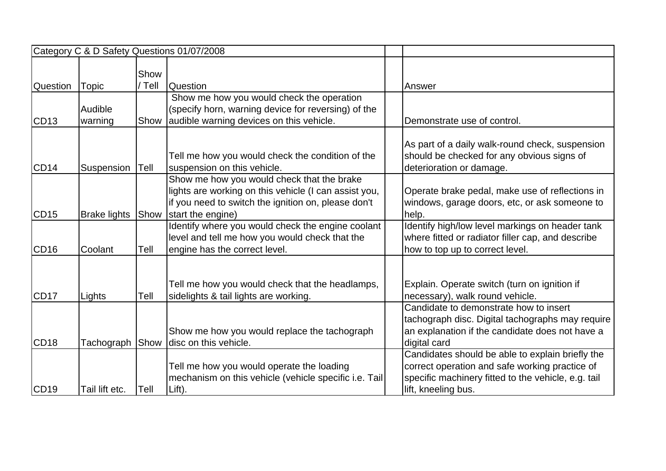| Category C & D Safety Questions 01/07/2008 |                     |                |                                                                                                                                                                                 |  |                                                                                                                                                                                  |  |
|--------------------------------------------|---------------------|----------------|---------------------------------------------------------------------------------------------------------------------------------------------------------------------------------|--|----------------------------------------------------------------------------------------------------------------------------------------------------------------------------------|--|
| Question                                   | <b>Topic</b>        | Show<br>/ Tell | <b>Question</b>                                                                                                                                                                 |  | Answer                                                                                                                                                                           |  |
| <b>CD13</b>                                | Audible<br>warning  | Show           | Show me how you would check the operation<br>(specify horn, warning device for reversing) of the<br>audible warning devices on this vehicle.                                    |  | Demonstrate use of control.                                                                                                                                                      |  |
| <b>CD14</b>                                | Suspension          | Tell           | Tell me how you would check the condition of the<br>suspension on this vehicle.                                                                                                 |  | As part of a daily walk-round check, suspension<br>should be checked for any obvious signs of<br>deterioration or damage.                                                        |  |
| <b>CD15</b>                                | <b>Brake lights</b> | Show           | Show me how you would check that the brake<br>lights are working on this vehicle (I can assist you,<br>if you need to switch the ignition on, please don't<br>start the engine) |  | Operate brake pedal, make use of reflections in<br>windows, garage doors, etc, or ask someone to<br>help.                                                                        |  |
| <b>CD16</b>                                | Coolant             | Tell           | Identify where you would check the engine coolant<br>level and tell me how you would check that the<br>engine has the correct level.                                            |  | Identify high/low level markings on header tank<br>where fitted or radiator filler cap, and describe<br>how to top up to correct level.                                          |  |
| <b>CD17</b>                                | Lights              | Tell           | Tell me how you would check that the headlamps,<br>sidelights & tail lights are working.                                                                                        |  | Explain. Operate switch (turn on ignition if<br>necessary), walk round vehicle.                                                                                                  |  |
| <b>CD18</b>                                | Tachograph          | Show           | Show me how you would replace the tachograph<br>disc on this vehicle.                                                                                                           |  | Candidate to demonstrate how to insert<br>tachograph disc. Digital tachographs may require<br>an explanation if the candidate does not have a<br>digital card                    |  |
| <b>CD19</b>                                | Tail lift etc.      | Tell           | Tell me how you would operate the loading<br>mechanism on this vehicle (vehicle specific i.e. Tail<br>Lift).                                                                    |  | Candidates should be able to explain briefly the<br>correct operation and safe working practice of<br>specific machinery fitted to the vehicle, e.g. tail<br>lift, kneeling bus. |  |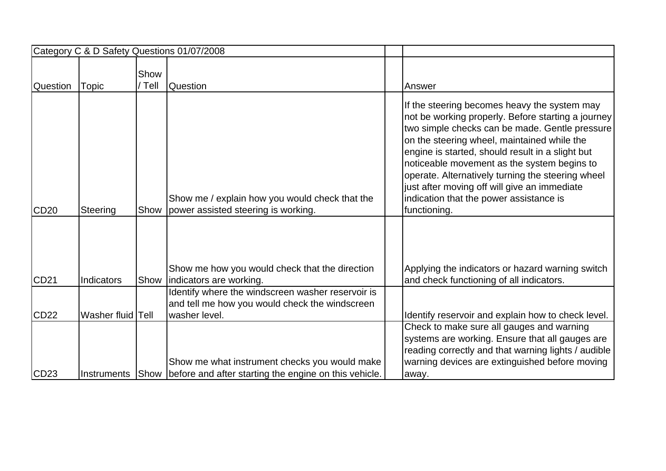|                 |                   |                | Category C & D Safety Questions 01/07/2008                                                                              |                                                                                                                                                                                                                                                                                                                                                                                                                                                                        |
|-----------------|-------------------|----------------|-------------------------------------------------------------------------------------------------------------------------|------------------------------------------------------------------------------------------------------------------------------------------------------------------------------------------------------------------------------------------------------------------------------------------------------------------------------------------------------------------------------------------------------------------------------------------------------------------------|
| <b>Question</b> | <b>Topic</b>      | Show<br>/ Tell | <b>Question</b>                                                                                                         | Answer                                                                                                                                                                                                                                                                                                                                                                                                                                                                 |
| <b>CD20</b>     | Steering          | Show           | Show me / explain how you would check that the<br>power assisted steering is working.                                   | If the steering becomes heavy the system may<br>not be working properly. Before starting a journey<br>two simple checks can be made. Gentle pressure<br>on the steering wheel, maintained while the<br>engine is started, should result in a slight but<br>noticeable movement as the system begins to<br>operate. Alternatively turning the steering wheel<br>just after moving off will give an immediate<br>indication that the power assistance is<br>functioning. |
| <b>CD21</b>     | Indicators        |                | Show me how you would check that the direction<br>Show   indicators are working.                                        | Applying the indicators or hazard warning switch<br>and check functioning of all indicators.                                                                                                                                                                                                                                                                                                                                                                           |
| <b>CD22</b>     | Washer fluid Tell |                | Identify where the windscreen washer reservoir is<br>and tell me how you would check the windscreen<br>washer level.    | Identify reservoir and explain how to check level.                                                                                                                                                                                                                                                                                                                                                                                                                     |
| CD23            |                   |                | Show me what instrument checks you would make<br>Instruments Show before and after starting the engine on this vehicle. | Check to make sure all gauges and warning<br>systems are working. Ensure that all gauges are<br>reading correctly and that warning lights / audible<br>warning devices are extinguished before moving<br>away.                                                                                                                                                                                                                                                         |